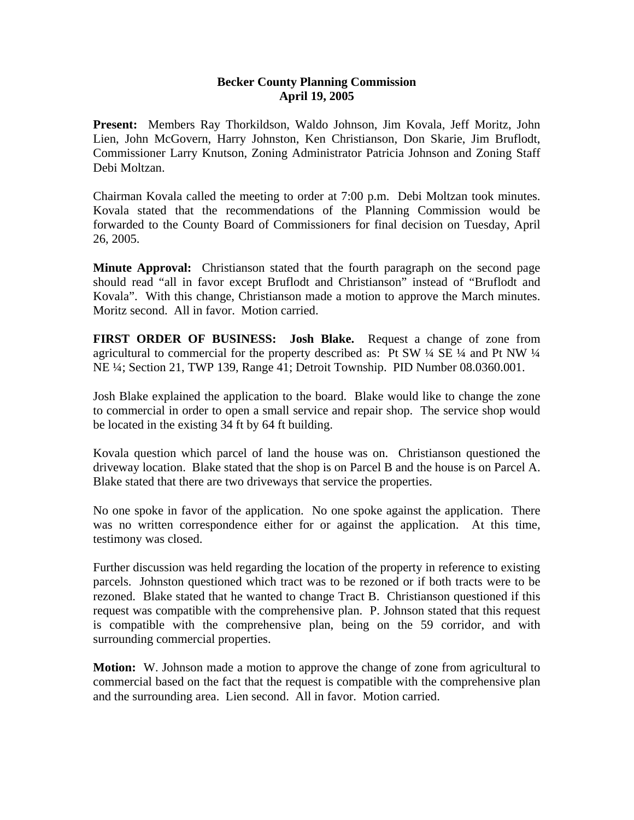## **Becker County Planning Commission April 19, 2005**

**Present:** Members Ray Thorkildson, Waldo Johnson, Jim Kovala, Jeff Moritz, John Lien, John McGovern, Harry Johnston, Ken Christianson, Don Skarie, Jim Bruflodt, Commissioner Larry Knutson, Zoning Administrator Patricia Johnson and Zoning Staff Debi Moltzan.

Chairman Kovala called the meeting to order at 7:00 p.m. Debi Moltzan took minutes. Kovala stated that the recommendations of the Planning Commission would be forwarded to the County Board of Commissioners for final decision on Tuesday, April 26, 2005.

**Minute Approval:** Christianson stated that the fourth paragraph on the second page should read "all in favor except Bruflodt and Christianson" instead of "Bruflodt and Kovala". With this change, Christianson made a motion to approve the March minutes. Moritz second. All in favor. Motion carried.

**FIRST ORDER OF BUSINESS: Josh Blake.** Request a change of zone from agricultural to commercial for the property described as: Pt SW  $\frac{1}{4}$  SE  $\frac{1}{4}$  and Pt NW  $\frac{1}{4}$ NE ¼; Section 21, TWP 139, Range 41; Detroit Township. PID Number 08.0360.001.

Josh Blake explained the application to the board. Blake would like to change the zone to commercial in order to open a small service and repair shop. The service shop would be located in the existing 34 ft by 64 ft building.

Kovala question which parcel of land the house was on. Christianson questioned the driveway location. Blake stated that the shop is on Parcel B and the house is on Parcel A. Blake stated that there are two driveways that service the properties.

No one spoke in favor of the application. No one spoke against the application. There was no written correspondence either for or against the application. At this time, testimony was closed.

Further discussion was held regarding the location of the property in reference to existing parcels. Johnston questioned which tract was to be rezoned or if both tracts were to be rezoned. Blake stated that he wanted to change Tract B. Christianson questioned if this request was compatible with the comprehensive plan. P. Johnson stated that this request is compatible with the comprehensive plan, being on the 59 corridor, and with surrounding commercial properties.

**Motion:** W. Johnson made a motion to approve the change of zone from agricultural to commercial based on the fact that the request is compatible with the comprehensive plan and the surrounding area. Lien second. All in favor. Motion carried.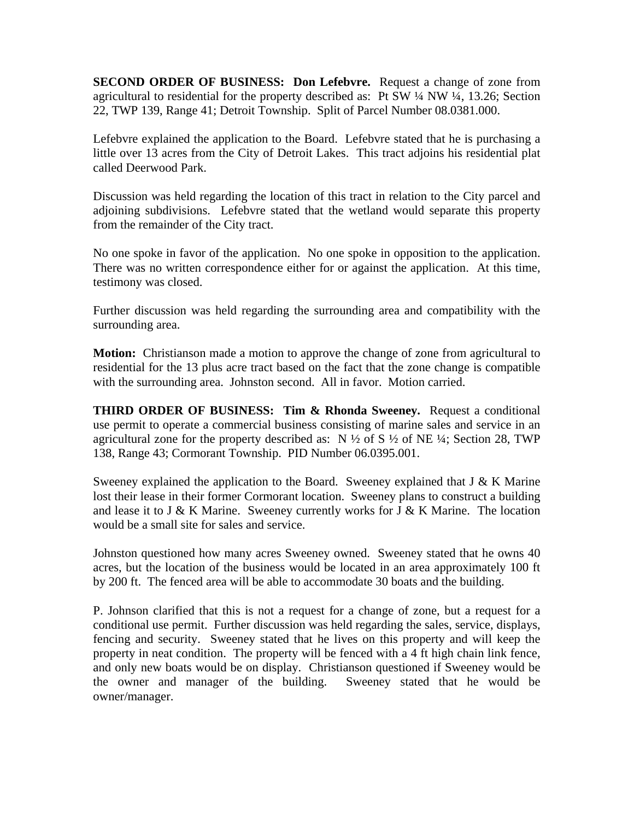**SECOND ORDER OF BUSINESS: Don Lefebvre.** Request a change of zone from agricultural to residential for the property described as: Pt SW ¼ NW ¼, 13.26; Section 22, TWP 139, Range 41; Detroit Township. Split of Parcel Number 08.0381.000.

Lefebvre explained the application to the Board. Lefebvre stated that he is purchasing a little over 13 acres from the City of Detroit Lakes. This tract adjoins his residential plat called Deerwood Park.

Discussion was held regarding the location of this tract in relation to the City parcel and adjoining subdivisions. Lefebvre stated that the wetland would separate this property from the remainder of the City tract.

No one spoke in favor of the application. No one spoke in opposition to the application. There was no written correspondence either for or against the application. At this time, testimony was closed.

Further discussion was held regarding the surrounding area and compatibility with the surrounding area.

**Motion:** Christianson made a motion to approve the change of zone from agricultural to residential for the 13 plus acre tract based on the fact that the zone change is compatible with the surrounding area. Johnston second. All in favor. Motion carried.

**THIRD ORDER OF BUSINESS: Tim & Rhonda Sweeney.** Request a conditional use permit to operate a commercial business consisting of marine sales and service in an agricultural zone for the property described as:  $N \frac{1}{2}$  of  $S \frac{1}{2}$  of NE  $\frac{1}{4}$ ; Section 28, TWP 138, Range 43; Cormorant Township. PID Number 06.0395.001.

Sweeney explained the application to the Board. Sweeney explained that  $J & K$  Marine lost their lease in their former Cormorant location. Sweeney plans to construct a building and lease it to J & K Marine. Sweeney currently works for J & K Marine. The location would be a small site for sales and service.

Johnston questioned how many acres Sweeney owned. Sweeney stated that he owns 40 acres, but the location of the business would be located in an area approximately 100 ft by 200 ft. The fenced area will be able to accommodate 30 boats and the building.

P. Johnson clarified that this is not a request for a change of zone, but a request for a conditional use permit. Further discussion was held regarding the sales, service, displays, fencing and security. Sweeney stated that he lives on this property and will keep the property in neat condition. The property will be fenced with a 4 ft high chain link fence, and only new boats would be on display. Christianson questioned if Sweeney would be the owner and manager of the building. Sweeney stated that he would be owner/manager.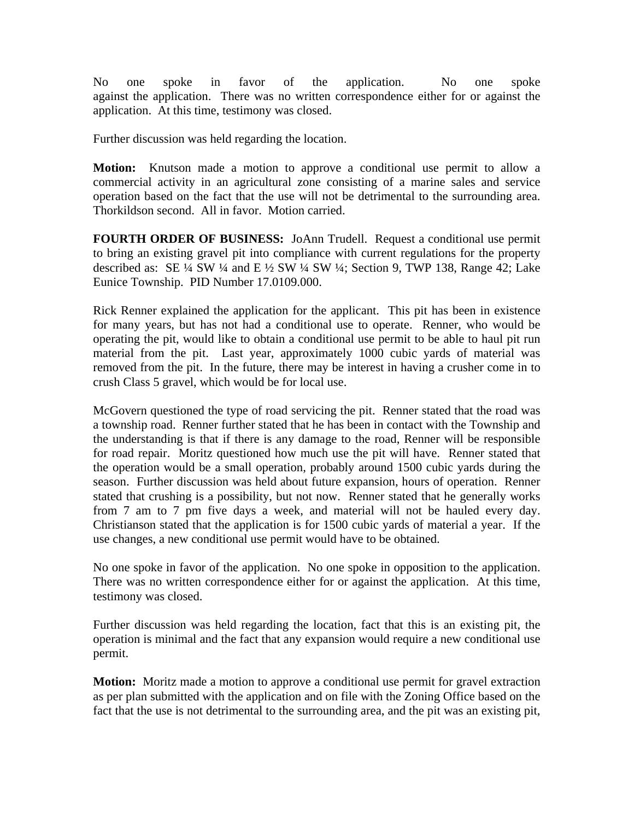No one spoke in favor of the application. No one spoke against the application. There was no written correspondence either for or against the application. At this time, testimony was closed.

Further discussion was held regarding the location.

**Motion:** Knutson made a motion to approve a conditional use permit to allow a commercial activity in an agricultural zone consisting of a marine sales and service operation based on the fact that the use will not be detrimental to the surrounding area. Thorkildson second. All in favor. Motion carried.

**FOURTH ORDER OF BUSINESS:** JoAnn Trudell. Request a conditional use permit to bring an existing gravel pit into compliance with current regulations for the property described as: SE  $\frac{1}{4}$  SW  $\frac{1}{4}$  and E  $\frac{1}{2}$  SW  $\frac{1}{4}$ ; Section 9, TWP 138, Range 42; Lake Eunice Township. PID Number 17.0109.000.

Rick Renner explained the application for the applicant. This pit has been in existence for many years, but has not had a conditional use to operate. Renner, who would be operating the pit, would like to obtain a conditional use permit to be able to haul pit run material from the pit. Last year, approximately 1000 cubic yards of material was removed from the pit. In the future, there may be interest in having a crusher come in to crush Class 5 gravel, which would be for local use.

McGovern questioned the type of road servicing the pit. Renner stated that the road was a township road. Renner further stated that he has been in contact with the Township and the understanding is that if there is any damage to the road, Renner will be responsible for road repair. Moritz questioned how much use the pit will have. Renner stated that the operation would be a small operation, probably around 1500 cubic yards during the season. Further discussion was held about future expansion, hours of operation. Renner stated that crushing is a possibility, but not now. Renner stated that he generally works from 7 am to 7 pm five days a week, and material will not be hauled every day. Christianson stated that the application is for 1500 cubic yards of material a year. If the use changes, a new conditional use permit would have to be obtained.

No one spoke in favor of the application. No one spoke in opposition to the application. There was no written correspondence either for or against the application. At this time, testimony was closed.

Further discussion was held regarding the location, fact that this is an existing pit, the operation is minimal and the fact that any expansion would require a new conditional use permit.

**Motion:** Moritz made a motion to approve a conditional use permit for gravel extraction as per plan submitted with the application and on file with the Zoning Office based on the fact that the use is not detrimental to the surrounding area, and the pit was an existing pit,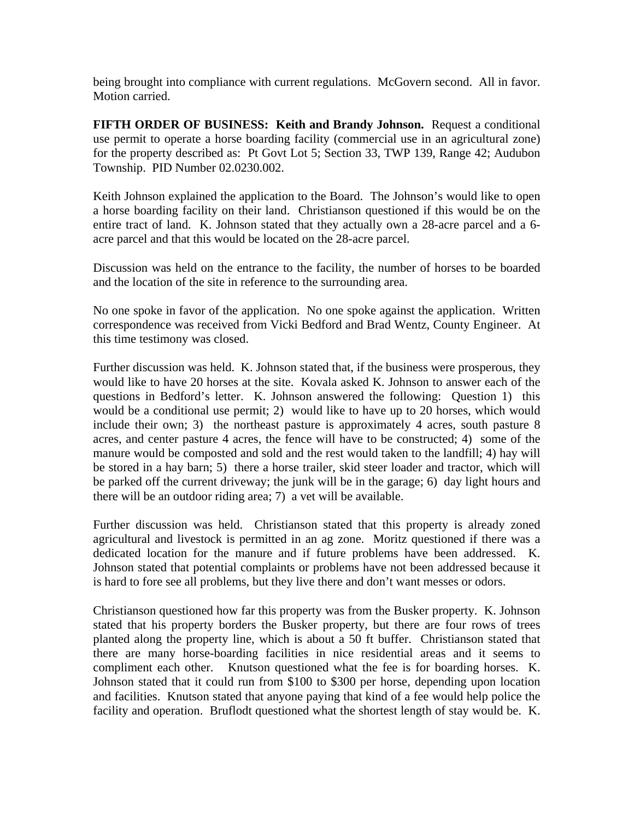being brought into compliance with current regulations. McGovern second. All in favor. Motion carried.

**FIFTH ORDER OF BUSINESS: Keith and Brandy Johnson.** Request a conditional use permit to operate a horse boarding facility (commercial use in an agricultural zone) for the property described as: Pt Govt Lot 5; Section 33, TWP 139, Range 42; Audubon Township. PID Number 02.0230.002.

Keith Johnson explained the application to the Board. The Johnson's would like to open a horse boarding facility on their land. Christianson questioned if this would be on the entire tract of land. K. Johnson stated that they actually own a 28-acre parcel and a 6 acre parcel and that this would be located on the 28-acre parcel.

Discussion was held on the entrance to the facility, the number of horses to be boarded and the location of the site in reference to the surrounding area.

No one spoke in favor of the application. No one spoke against the application. Written correspondence was received from Vicki Bedford and Brad Wentz, County Engineer. At this time testimony was closed.

Further discussion was held. K. Johnson stated that, if the business were prosperous, they would like to have 20 horses at the site. Kovala asked K. Johnson to answer each of the questions in Bedford's letter. K. Johnson answered the following: Question 1) this would be a conditional use permit; 2) would like to have up to 20 horses, which would include their own; 3) the northeast pasture is approximately 4 acres, south pasture 8 acres, and center pasture 4 acres, the fence will have to be constructed; 4) some of the manure would be composted and sold and the rest would taken to the landfill; 4) hay will be stored in a hay barn; 5) there a horse trailer, skid steer loader and tractor, which will be parked off the current driveway; the junk will be in the garage; 6) day light hours and there will be an outdoor riding area; 7) a vet will be available.

Further discussion was held. Christianson stated that this property is already zoned agricultural and livestock is permitted in an ag zone. Moritz questioned if there was a dedicated location for the manure and if future problems have been addressed. K. Johnson stated that potential complaints or problems have not been addressed because it is hard to fore see all problems, but they live there and don't want messes or odors.

Christianson questioned how far this property was from the Busker property. K. Johnson stated that his property borders the Busker property, but there are four rows of trees planted along the property line, which is about a 50 ft buffer. Christianson stated that there are many horse-boarding facilities in nice residential areas and it seems to compliment each other. Knutson questioned what the fee is for boarding horses. K. Johnson stated that it could run from \$100 to \$300 per horse, depending upon location and facilities. Knutson stated that anyone paying that kind of a fee would help police the facility and operation. Bruflodt questioned what the shortest length of stay would be. K.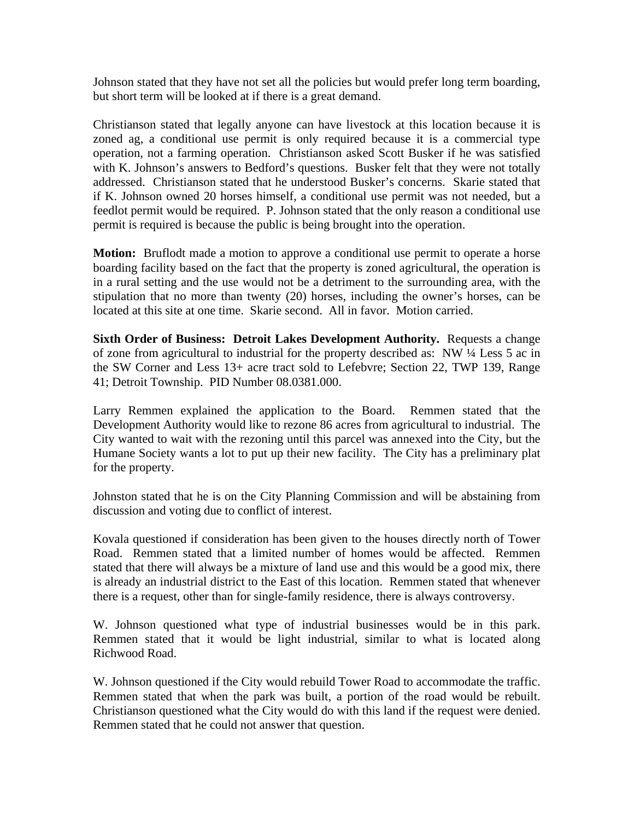Johnson stated that they have not set all the policies but would prefer long term boarding, but short term will be looked at if there is a great demand.

Christianson stated that legally anyone can have livestock at this location because it is zoned ag, a conditional use permit is only required because it is a commercial type operation, not a farming operation. Christianson asked Scott Busker if he was satisfied with K. Johnson's answers to Bedford's questions. Busker felt that they were not totally addressed. Christianson stated that he understood Busker's concerns. Skarie stated that if K. Johnson owned 20 horses himself, a conditional use permit was not needed, but a feedlot permit would be required. P. Johnson stated that the only reason a conditional use permit is required is because the public is being brought into the operation.

**Motion:** Bruflodt made a motion to approve a conditional use permit to operate a horse boarding facility based on the fact that the property is zoned agricultural, the operation is in a rural setting and the use would not be a detriment to the surrounding area, with the stipulation that no more than twenty (20) horses, including the owner's horses, can be located at this site at one time. Skarie second. All in favor. Motion carried.

**Sixth Order of Business: Detroit Lakes Development Authority.** Requests a change of zone from agricultural to industrial for the property described as: NW ¼ Less 5 ac in the SW Corner and Less 13+ acre tract sold to Lefebvre; Section 22, TWP 139, Range 41; Detroit Township. PID Number 08.0381.000.

Larry Remmen explained the application to the Board. Remmen stated that the Development Authority would like to rezone 86 acres from agricultural to industrial. The City wanted to wait with the rezoning until this parcel was annexed into the City, but the Humane Society wants a lot to put up their new facility. The City has a preliminary plat for the property.

Johnston stated that he is on the City Planning Commission and will be abstaining from discussion and voting due to conflict of interest.

Kovala questioned if consideration has been given to the houses directly north of Tower Road. Remmen stated that a limited number of homes would be affected. Remmen stated that there will always be a mixture of land use and this would be a good mix, there is already an industrial district to the East of this location. Remmen stated that whenever there is a request, other than for single-family residence, there is always controversy.

W. Johnson questioned what type of industrial businesses would be in this park. Remmen stated that it would be light industrial, similar to what is located along Richwood Road.

W. Johnson questioned if the City would rebuild Tower Road to accommodate the traffic. Remmen stated that when the park was built, a portion of the road would be rebuilt. Christianson questioned what the City would do with this land if the request were denied. Remmen stated that he could not answer that question.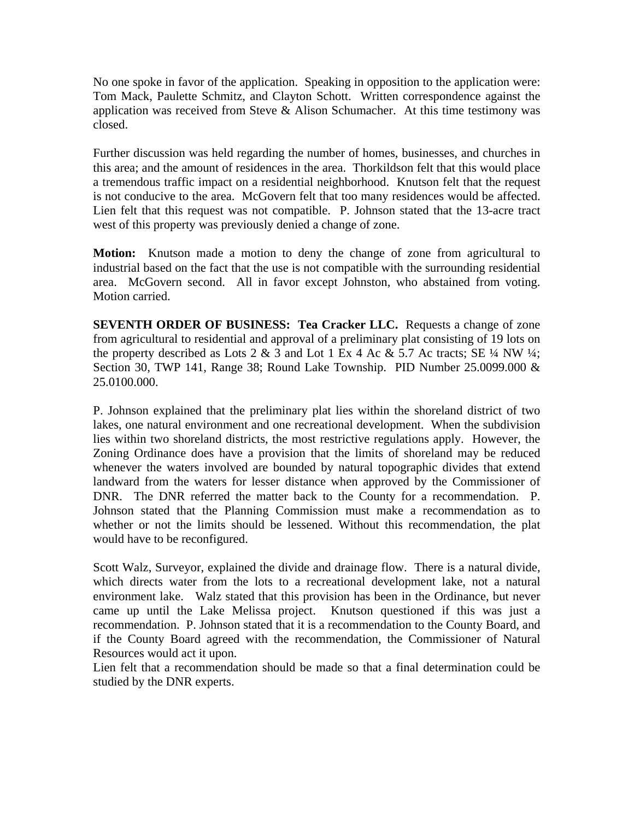No one spoke in favor of the application. Speaking in opposition to the application were: Tom Mack, Paulette Schmitz, and Clayton Schott. Written correspondence against the application was received from Steve  $\&$  Alison Schumacher. At this time testimony was closed.

Further discussion was held regarding the number of homes, businesses, and churches in this area; and the amount of residences in the area. Thorkildson felt that this would place a tremendous traffic impact on a residential neighborhood. Knutson felt that the request is not conducive to the area. McGovern felt that too many residences would be affected. Lien felt that this request was not compatible. P. Johnson stated that the 13-acre tract west of this property was previously denied a change of zone.

**Motion:** Knutson made a motion to deny the change of zone from agricultural to industrial based on the fact that the use is not compatible with the surrounding residential area. McGovern second. All in favor except Johnston, who abstained from voting. Motion carried.

**SEVENTH ORDER OF BUSINESS: Tea Cracker LLC.** Requests a change of zone from agricultural to residential and approval of a preliminary plat consisting of 19 lots on the property described as Lots 2 & 3 and Lot 1 Ex 4 Ac & 5.7 Ac tracts; SE  $\frac{1}{4}$  NW  $\frac{1}{4}$ ; Section 30, TWP 141, Range 38; Round Lake Township. PID Number 25.0099.000 & 25.0100.000.

P. Johnson explained that the preliminary plat lies within the shoreland district of two lakes, one natural environment and one recreational development. When the subdivision lies within two shoreland districts, the most restrictive regulations apply. However, the Zoning Ordinance does have a provision that the limits of shoreland may be reduced whenever the waters involved are bounded by natural topographic divides that extend landward from the waters for lesser distance when approved by the Commissioner of DNR. The DNR referred the matter back to the County for a recommendation. P. Johnson stated that the Planning Commission must make a recommendation as to whether or not the limits should be lessened. Without this recommendation, the plat would have to be reconfigured.

Scott Walz, Surveyor, explained the divide and drainage flow. There is a natural divide, which directs water from the lots to a recreational development lake, not a natural environment lake. Walz stated that this provision has been in the Ordinance, but never came up until the Lake Melissa project. Knutson questioned if this was just a recommendation. P. Johnson stated that it is a recommendation to the County Board, and if the County Board agreed with the recommendation, the Commissioner of Natural Resources would act it upon.

Lien felt that a recommendation should be made so that a final determination could be studied by the DNR experts.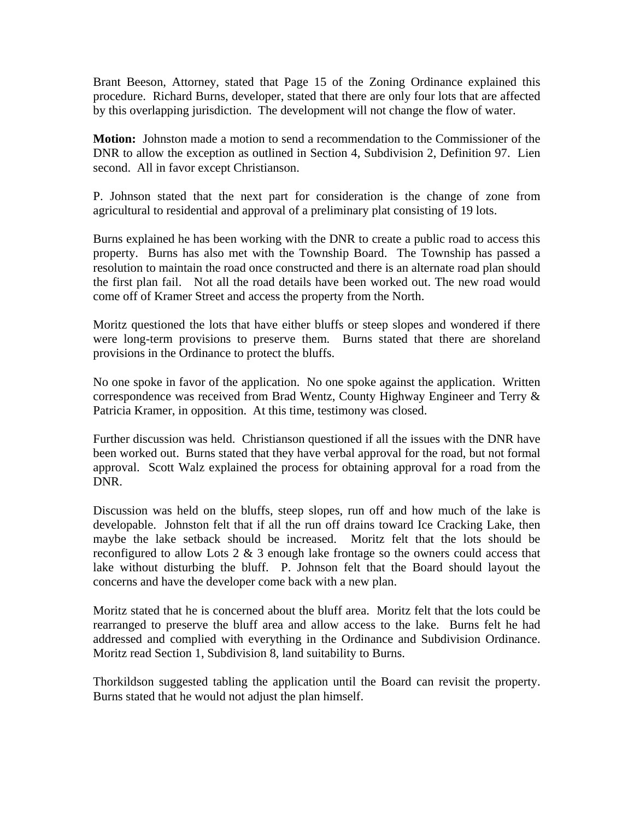Brant Beeson, Attorney, stated that Page 15 of the Zoning Ordinance explained this procedure. Richard Burns, developer, stated that there are only four lots that are affected by this overlapping jurisdiction. The development will not change the flow of water.

**Motion:** Johnston made a motion to send a recommendation to the Commissioner of the DNR to allow the exception as outlined in Section 4, Subdivision 2, Definition 97. Lien second. All in favor except Christianson.

P. Johnson stated that the next part for consideration is the change of zone from agricultural to residential and approval of a preliminary plat consisting of 19 lots.

Burns explained he has been working with the DNR to create a public road to access this property. Burns has also met with the Township Board. The Township has passed a resolution to maintain the road once constructed and there is an alternate road plan should the first plan fail. Not all the road details have been worked out. The new road would come off of Kramer Street and access the property from the North.

Moritz questioned the lots that have either bluffs or steep slopes and wondered if there were long-term provisions to preserve them. Burns stated that there are shoreland provisions in the Ordinance to protect the bluffs.

No one spoke in favor of the application. No one spoke against the application. Written correspondence was received from Brad Wentz, County Highway Engineer and Terry & Patricia Kramer, in opposition. At this time, testimony was closed.

Further discussion was held. Christianson questioned if all the issues with the DNR have been worked out. Burns stated that they have verbal approval for the road, but not formal approval. Scott Walz explained the process for obtaining approval for a road from the DNR.

Discussion was held on the bluffs, steep slopes, run off and how much of the lake is developable. Johnston felt that if all the run off drains toward Ice Cracking Lake, then maybe the lake setback should be increased. Moritz felt that the lots should be reconfigured to allow Lots  $2 \& 3$  enough lake frontage so the owners could access that lake without disturbing the bluff. P. Johnson felt that the Board should layout the concerns and have the developer come back with a new plan.

Moritz stated that he is concerned about the bluff area. Moritz felt that the lots could be rearranged to preserve the bluff area and allow access to the lake. Burns felt he had addressed and complied with everything in the Ordinance and Subdivision Ordinance. Moritz read Section 1, Subdivision 8, land suitability to Burns.

Thorkildson suggested tabling the application until the Board can revisit the property. Burns stated that he would not adjust the plan himself.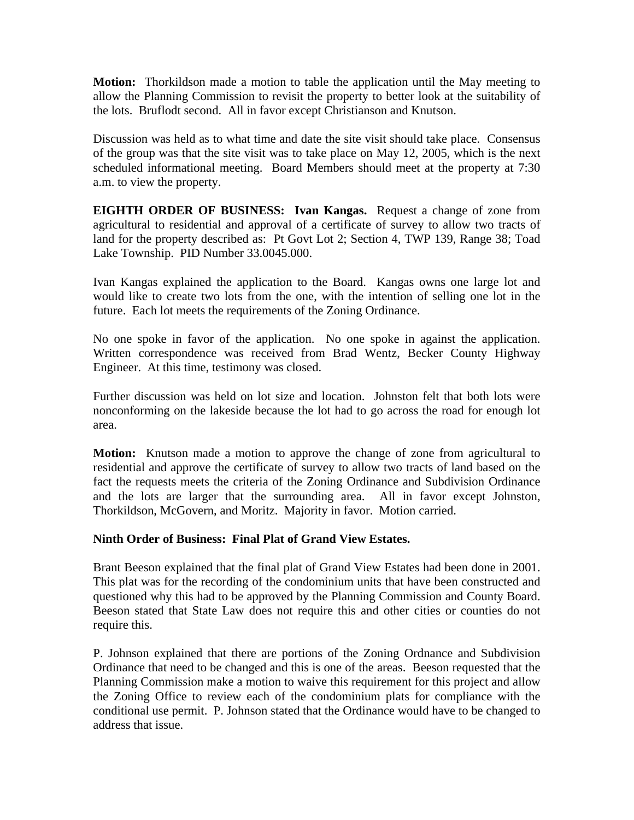**Motion:** Thorkildson made a motion to table the application until the May meeting to allow the Planning Commission to revisit the property to better look at the suitability of the lots. Bruflodt second. All in favor except Christianson and Knutson.

Discussion was held as to what time and date the site visit should take place. Consensus of the group was that the site visit was to take place on May 12, 2005, which is the next scheduled informational meeting. Board Members should meet at the property at 7:30 a.m. to view the property.

**EIGHTH ORDER OF BUSINESS: Ivan Kangas.** Request a change of zone from agricultural to residential and approval of a certificate of survey to allow two tracts of land for the property described as: Pt Govt Lot 2; Section 4, TWP 139, Range 38; Toad Lake Township. PID Number 33.0045.000.

Ivan Kangas explained the application to the Board. Kangas owns one large lot and would like to create two lots from the one, with the intention of selling one lot in the future. Each lot meets the requirements of the Zoning Ordinance.

No one spoke in favor of the application. No one spoke in against the application. Written correspondence was received from Brad Wentz, Becker County Highway Engineer. At this time, testimony was closed.

Further discussion was held on lot size and location. Johnston felt that both lots were nonconforming on the lakeside because the lot had to go across the road for enough lot area.

**Motion:** Knutson made a motion to approve the change of zone from agricultural to residential and approve the certificate of survey to allow two tracts of land based on the fact the requests meets the criteria of the Zoning Ordinance and Subdivision Ordinance and the lots are larger that the surrounding area. All in favor except Johnston, Thorkildson, McGovern, and Moritz. Majority in favor. Motion carried.

## **Ninth Order of Business: Final Plat of Grand View Estates.**

Brant Beeson explained that the final plat of Grand View Estates had been done in 2001. This plat was for the recording of the condominium units that have been constructed and questioned why this had to be approved by the Planning Commission and County Board. Beeson stated that State Law does not require this and other cities or counties do not require this.

P. Johnson explained that there are portions of the Zoning Ordnance and Subdivision Ordinance that need to be changed and this is one of the areas. Beeson requested that the Planning Commission make a motion to waive this requirement for this project and allow the Zoning Office to review each of the condominium plats for compliance with the conditional use permit. P. Johnson stated that the Ordinance would have to be changed to address that issue.